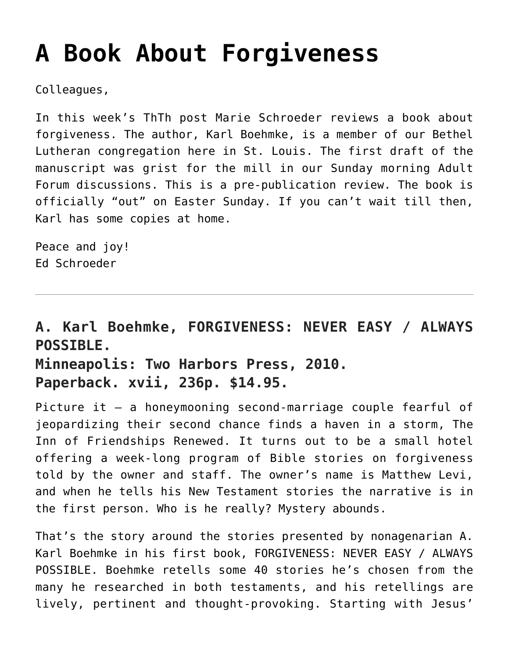## **[A Book About Forgiveness](https://crossings.org/a-book-about-forgiveness/)**

Colleagues,

In this week's ThTh post Marie Schroeder reviews a book about forgiveness. The author, Karl Boehmke, is a member of our Bethel Lutheran congregation here in St. Louis. The first draft of the manuscript was grist for the mill in our Sunday morning Adult Forum discussions. This is a pre-publication review. The book is officially "out" on Easter Sunday. If you can't wait till then, Karl has some copies at home.

Peace and joy! Ed Schroeder

## **A. Karl Boehmke, FORGIVENESS: NEVER EASY / ALWAYS POSSIBLE. Minneapolis: Two Harbors Press, 2010. Paperback. xvii, 236p. \$14.95.**

Picture it — a honeymooning second-marriage couple fearful of jeopardizing their second chance finds a haven in a storm, The Inn of Friendships Renewed. It turns out to be a small hotel offering a week-long program of Bible stories on forgiveness told by the owner and staff. The owner's name is Matthew Levi, and when he tells his New Testament stories the narrative is in the first person. Who is he really? Mystery abounds.

That's the story around the stories presented by nonagenarian A. Karl Boehmke in his first book, FORGIVENESS: NEVER EASY / ALWAYS POSSIBLE. Boehmke retells some 40 stories he's chosen from the many he researched in both testaments, and his retellings are lively, pertinent and thought-provoking. Starting with Jesus'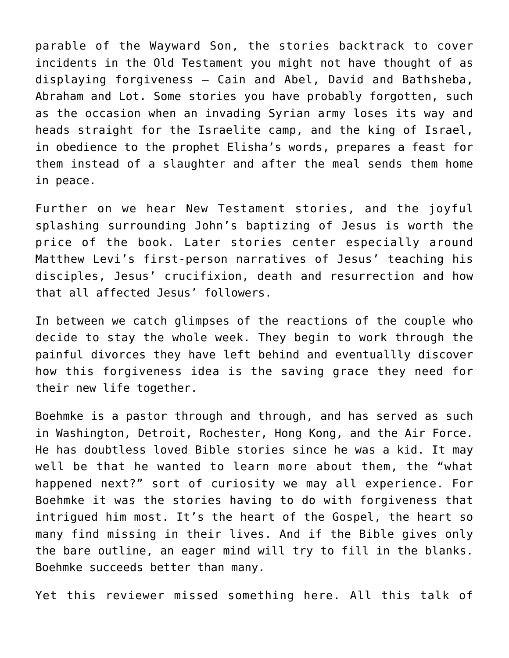parable of the Wayward Son, the stories backtrack to cover incidents in the Old Testament you might not have thought of as displaying forgiveness — Cain and Abel, David and Bathsheba, Abraham and Lot. Some stories you have probably forgotten, such as the occasion when an invading Syrian army loses its way and heads straight for the Israelite camp, and the king of Israel, in obedience to the prophet Elisha's words, prepares a feast for them instead of a slaughter and after the meal sends them home in peace.

Further on we hear New Testament stories, and the joyful splashing surrounding John's baptizing of Jesus is worth the price of the book. Later stories center especially around Matthew Levi's first-person narratives of Jesus' teaching his disciples, Jesus' crucifixion, death and resurrection and how that all affected Jesus' followers.

In between we catch glimpses of the reactions of the couple who decide to stay the whole week. They begin to work through the painful divorces they have left behind and eventuallly discover how this forgiveness idea is the saving grace they need for their new life together.

Boehmke is a pastor through and through, and has served as such in Washington, Detroit, Rochester, Hong Kong, and the Air Force. He has doubtless loved Bible stories since he was a kid. It may well be that he wanted to learn more about them, the "what happened next?" sort of curiosity we may all experience. For Boehmke it was the stories having to do with forgiveness that intrigued him most. It's the heart of the Gospel, the heart so many find missing in their lives. And if the Bible gives only the bare outline, an eager mind will try to fill in the blanks. Boehmke succeeds better than many.

Yet this reviewer missed something here. All this talk of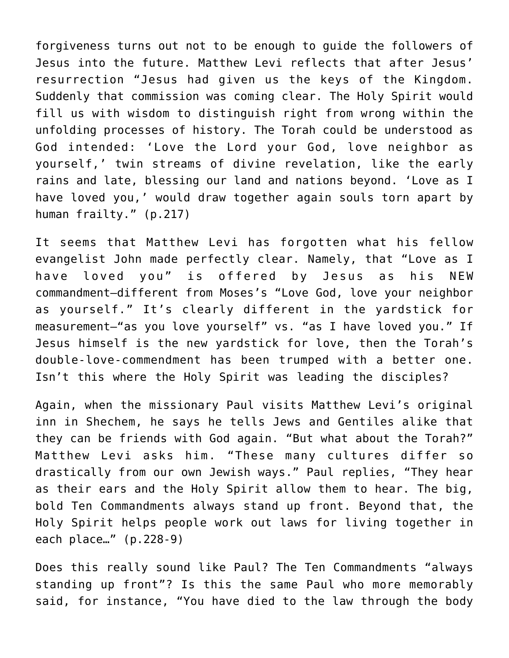forgiveness turns out not to be enough to guide the followers of Jesus into the future. Matthew Levi reflects that after Jesus' resurrection "Jesus had given us the keys of the Kingdom. Suddenly that commission was coming clear. The Holy Spirit would fill us with wisdom to distinguish right from wrong within the unfolding processes of history. The Torah could be understood as God intended: 'Love the Lord your God, love neighbor as yourself,' twin streams of divine revelation, like the early rains and late, blessing our land and nations beyond. 'Love as I have loved you,' would draw together again souls torn apart by human frailty." (p.217)

It seems that Matthew Levi has forgotten what his fellow evangelist John made perfectly clear. Namely, that "Love as I have loved you" is offered by Jesus as his NEW commandment–different from Moses's "Love God, love your neighbor as yourself." It's clearly different in the yardstick for measurement–"as you love yourself" vs. "as I have loved you." If Jesus himself is the new yardstick for love, then the Torah's double-love-commendment has been trumped with a better one. Isn't this where the Holy Spirit was leading the disciples?

Again, when the missionary Paul visits Matthew Levi's original inn in Shechem, he says he tells Jews and Gentiles alike that they can be friends with God again. "But what about the Torah?" Matthew Levi asks him. "These many cultures differ so drastically from our own Jewish ways." Paul replies, "They hear as their ears and the Holy Spirit allow them to hear. The big, bold Ten Commandments always stand up front. Beyond that, the Holy Spirit helps people work out laws for living together in each place…" (p.228-9)

Does this really sound like Paul? The Ten Commandments "always standing up front"? Is this the same Paul who more memorably said, for instance, "You have died to the law through the body